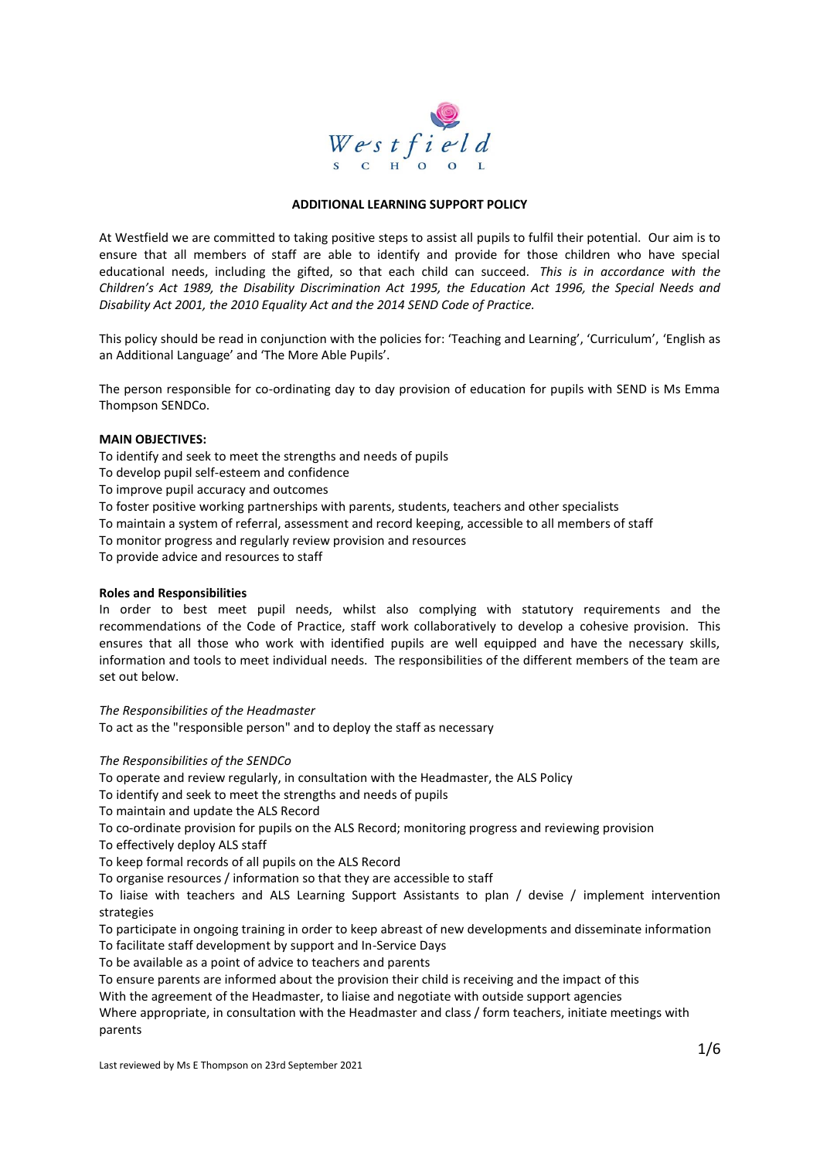

#### **ADDITIONAL LEARNING SUPPORT POLICY**

At Westfield we are committed to taking positive steps to assist all pupils to fulfil their potential. Our aim is to ensure that all members of staff are able to identify and provide for those children who have special educational needs, including the gifted, so that each child can succeed. *This is in accordance with the Children's Act 1989, the Disability Discrimination Act 1995, the Education Act 1996, the Special Needs and Disability Act 2001, the 2010 Equality Act and the 2014 SEND Code of Practice.* 

This policy should be read in conjunction with the policies for: 'Teaching and Learning', 'Curriculum', 'English as an Additional Language' and 'The More Able Pupils'.

The person responsible for co-ordinating day to day provision of education for pupils with SEND is Ms Emma Thompson SENDCo.

#### **MAIN OBJECTIVES:**

To identify and seek to meet the strengths and needs of pupils

To develop pupil self-esteem and confidence

To improve pupil accuracy and outcomes

To foster positive working partnerships with parents, students, teachers and other specialists

To maintain a system of referral, assessment and record keeping, accessible to all members of staff

To monitor progress and regularly review provision and resources

To provide advice and resources to staff

#### **Roles and Responsibilities**

In order to best meet pupil needs, whilst also complying with statutory requirements and the recommendations of the Code of Practice, staff work collaboratively to develop a cohesive provision. This ensures that all those who work with identified pupils are well equipped and have the necessary skills, information and tools to meet individual needs. The responsibilities of the different members of the team are set out below.

*The Responsibilities of the Headmaster* To act as the "responsible person" and to deploy the staff as necessary

*The Responsibilities of the SENDCo* 

To operate and review regularly, in consultation with the Headmaster, the ALS Policy

To identify and seek to meet the strengths and needs of pupils

To maintain and update the ALS Record

To co-ordinate provision for pupils on the ALS Record; monitoring progress and reviewing provision

To effectively deploy ALS staff

To keep formal records of all pupils on the ALS Record

To organise resources / information so that they are accessible to staff

To liaise with teachers and ALS Learning Support Assistants to plan / devise / implement intervention strategies

To participate in ongoing training in order to keep abreast of new developments and disseminate information

To facilitate staff development by support and In-Service Days

To be available as a point of advice to teachers and parents

To ensure parents are informed about the provision their child is receiving and the impact of this

With the agreement of the Headmaster, to liaise and negotiate with outside support agencies

Where appropriate, in consultation with the Headmaster and class / form teachers, initiate meetings with parents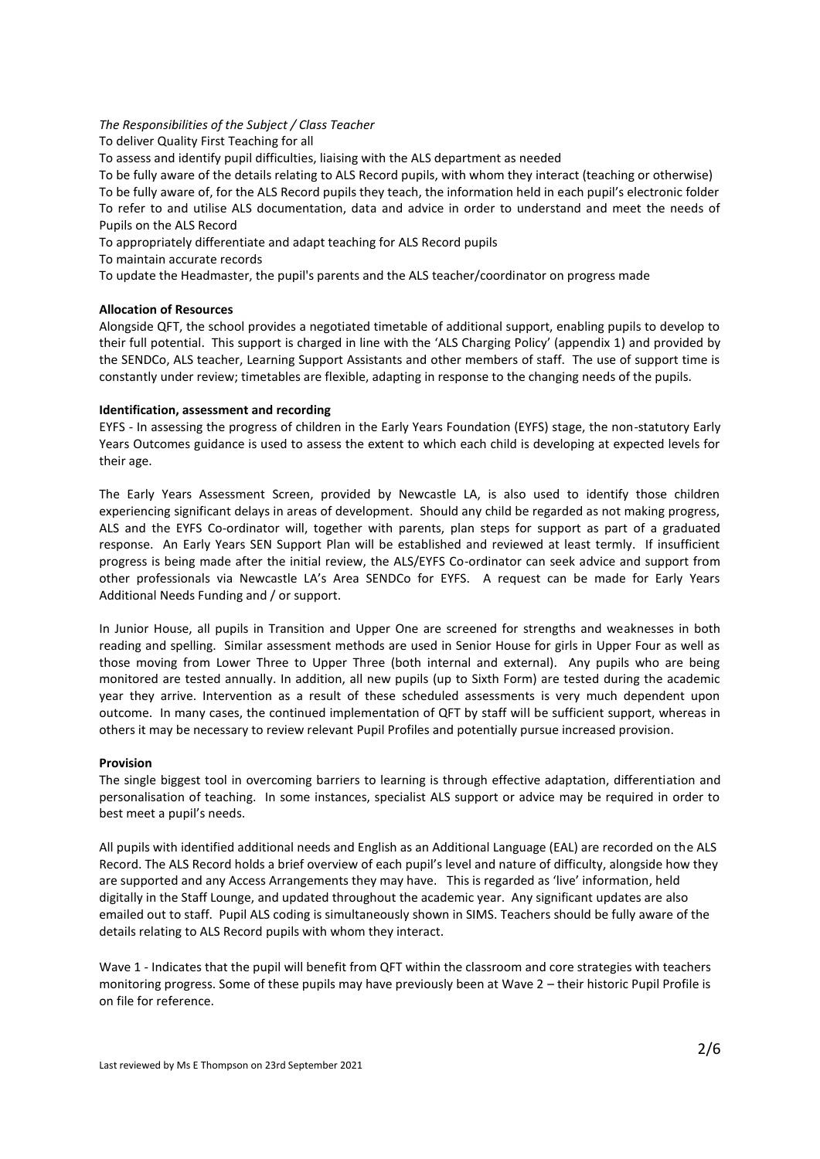## *The Responsibilities of the Subject / Class Teacher*

To deliver Quality First Teaching for all

To assess and identify pupil difficulties, liaising with the ALS department as needed

To be fully aware of the details relating to ALS Record pupils, with whom they interact (teaching or otherwise) To be fully aware of, for the ALS Record pupils they teach, the information held in each pupil's electronic folder To refer to and utilise ALS documentation, data and advice in order to understand and meet the needs of Pupils on the ALS Record

To appropriately differentiate and adapt teaching for ALS Record pupils

To maintain accurate records

To update the Headmaster, the pupil's parents and the ALS teacher/coordinator on progress made

### **Allocation of Resources**

Alongside QFT, the school provides a negotiated timetable of additional support, enabling pupils to develop to their full potential. This support is charged in line with the 'ALS Charging Policy' (appendix 1) and provided by the SENDCo, ALS teacher, Learning Support Assistants and other members of staff. The use of support time is constantly under review; timetables are flexible, adapting in response to the changing needs of the pupils.

### **Identification, assessment and recording**

EYFS - In assessing the progress of children in the Early Years Foundation (EYFS) stage, the non-statutory Early Years Outcomes guidance is used to assess the extent to which each child is developing at expected levels for their age.

The Early Years Assessment Screen, provided by Newcastle LA, is also used to identify those children experiencing significant delays in areas of development. Should any child be regarded as not making progress, ALS and the EYFS Co-ordinator will, together with parents, plan steps for support as part of a graduated response. An Early Years SEN Support Plan will be established and reviewed at least termly. If insufficient progress is being made after the initial review, the ALS/EYFS Co-ordinator can seek advice and support from other professionals via Newcastle LA's Area SENDCo for EYFS. A request can be made for Early Years Additional Needs Funding and / or support.

In Junior House, all pupils in Transition and Upper One are screened for strengths and weaknesses in both reading and spelling. Similar assessment methods are used in Senior House for girls in Upper Four as well as those moving from Lower Three to Upper Three (both internal and external). Any pupils who are being monitored are tested annually. In addition, all new pupils (up to Sixth Form) are tested during the academic year they arrive. Intervention as a result of these scheduled assessments is very much dependent upon outcome. In many cases, the continued implementation of QFT by staff will be sufficient support, whereas in others it may be necessary to review relevant Pupil Profiles and potentially pursue increased provision.

#### **Provision**

The single biggest tool in overcoming barriers to learning is through effective adaptation, differentiation and personalisation of teaching. In some instances, specialist ALS support or advice may be required in order to best meet a pupil's needs.

All pupils with identified additional needs and English as an Additional Language (EAL) are recorded on the ALS Record. The ALS Record holds a brief overview of each pupil's level and nature of difficulty, alongside how they are supported and any Access Arrangements they may have. This is regarded as 'live' information, held digitally in the Staff Lounge, and updated throughout the academic year. Any significant updates are also emailed out to staff. Pupil ALS coding is simultaneously shown in SIMS. Teachers should be fully aware of the details relating to ALS Record pupils with whom they interact.

Wave 1 - Indicates that the pupil will benefit from QFT within the classroom and core strategies with teachers monitoring progress. Some of these pupils may have previously been at Wave 2 – their historic Pupil Profile is on file for reference.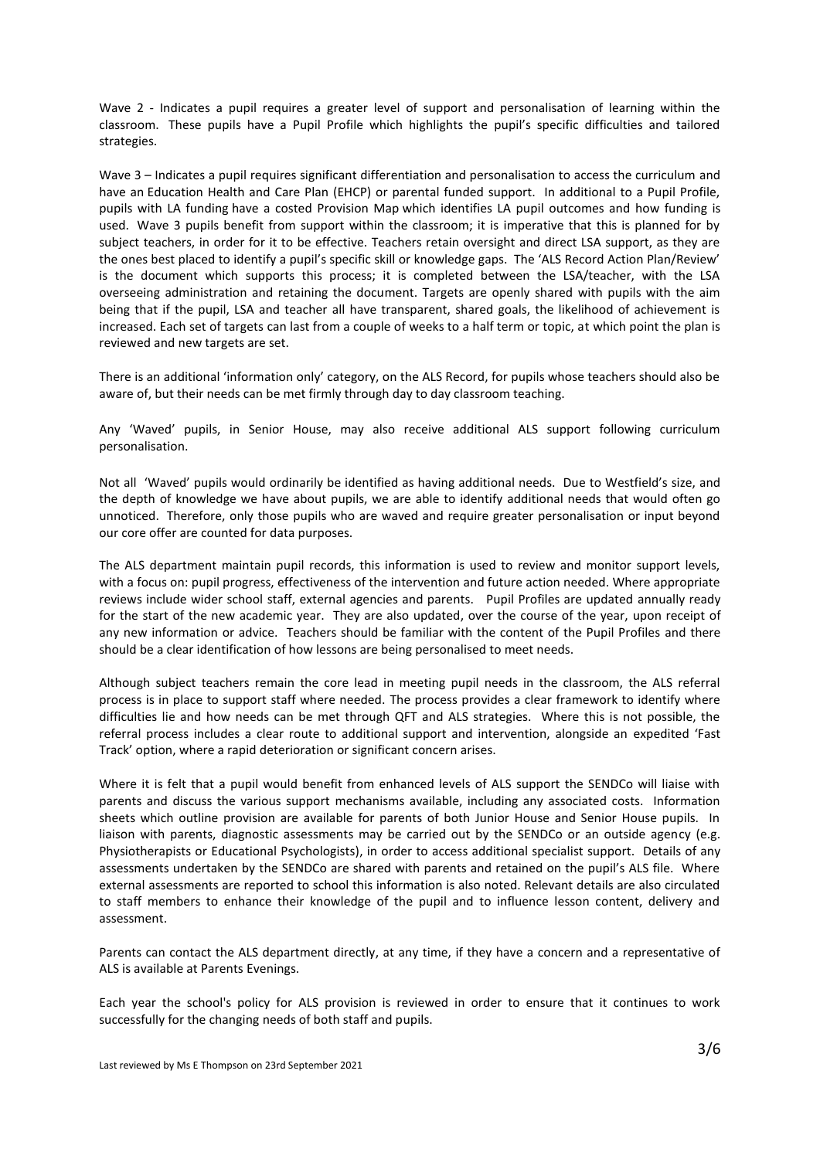Wave 2 - Indicates a pupil requires a greater level of support and personalisation of learning within the classroom. These pupils have a Pupil Profile which highlights the pupil's specific difficulties and tailored strategies.

Wave 3 – Indicates a pupil requires significant differentiation and personalisation to access the curriculum and have an Education Health and Care Plan (EHCP) or parental funded support. In additional to a Pupil Profile, pupils with LA funding have a costed Provision Map which identifies LA pupil outcomes and how funding is used. Wave 3 pupils benefit from support within the classroom; it is imperative that this is planned for by subject teachers, in order for it to be effective. Teachers retain oversight and direct LSA support, as they are the ones best placed to identify a pupil's specific skill or knowledge gaps. The 'ALS Record Action Plan/Review' is the document which supports this process; it is completed between the LSA/teacher, with the LSA overseeing administration and retaining the document. Targets are openly shared with pupils with the aim being that if the pupil, LSA and teacher all have transparent, shared goals, the likelihood of achievement is increased. Each set of targets can last from a couple of weeks to a half term or topic, at which point the plan is reviewed and new targets are set.

There is an additional 'information only' category, on the ALS Record, for pupils whose teachers should also be aware of, but their needs can be met firmly through day to day classroom teaching.

Any 'Waved' pupils, in Senior House, may also receive additional ALS support following curriculum personalisation.

Not all 'Waved' pupils would ordinarily be identified as having additional needs. Due to Westfield's size, and the depth of knowledge we have about pupils, we are able to identify additional needs that would often go unnoticed. Therefore, only those pupils who are waved and require greater personalisation or input beyond our core offer are counted for data purposes.

The ALS department maintain pupil records, this information is used to review and monitor support levels, with a focus on: pupil progress, effectiveness of the intervention and future action needed. Where appropriate reviews include wider school staff, external agencies and parents. Pupil Profiles are updated annually ready for the start of the new academic year. They are also updated, over the course of the year, upon receipt of any new information or advice. Teachers should be familiar with the content of the Pupil Profiles and there should be a clear identification of how lessons are being personalised to meet needs.

Although subject teachers remain the core lead in meeting pupil needs in the classroom, the ALS referral process is in place to support staff where needed. The process provides a clear framework to identify where difficulties lie and how needs can be met through QFT and ALS strategies. Where this is not possible, the referral process includes a clear route to additional support and intervention, alongside an expedited 'Fast Track' option, where a rapid deterioration or significant concern arises.

Where it is felt that a pupil would benefit from enhanced levels of ALS support the SENDCo will liaise with parents and discuss the various support mechanisms available, including any associated costs. Information sheets which outline provision are available for parents of both Junior House and Senior House pupils. In liaison with parents, diagnostic assessments may be carried out by the SENDCo or an outside agency (e.g. Physiotherapists or Educational Psychologists), in order to access additional specialist support. Details of any assessments undertaken by the SENDCo are shared with parents and retained on the pupil's ALS file. Where external assessments are reported to school this information is also noted. Relevant details are also circulated to staff members to enhance their knowledge of the pupil and to influence lesson content, delivery and assessment.

Parents can contact the ALS department directly, at any time, if they have a concern and a representative of ALS is available at Parents Evenings.

Each year the school's policy for ALS provision is reviewed in order to ensure that it continues to work successfully for the changing needs of both staff and pupils.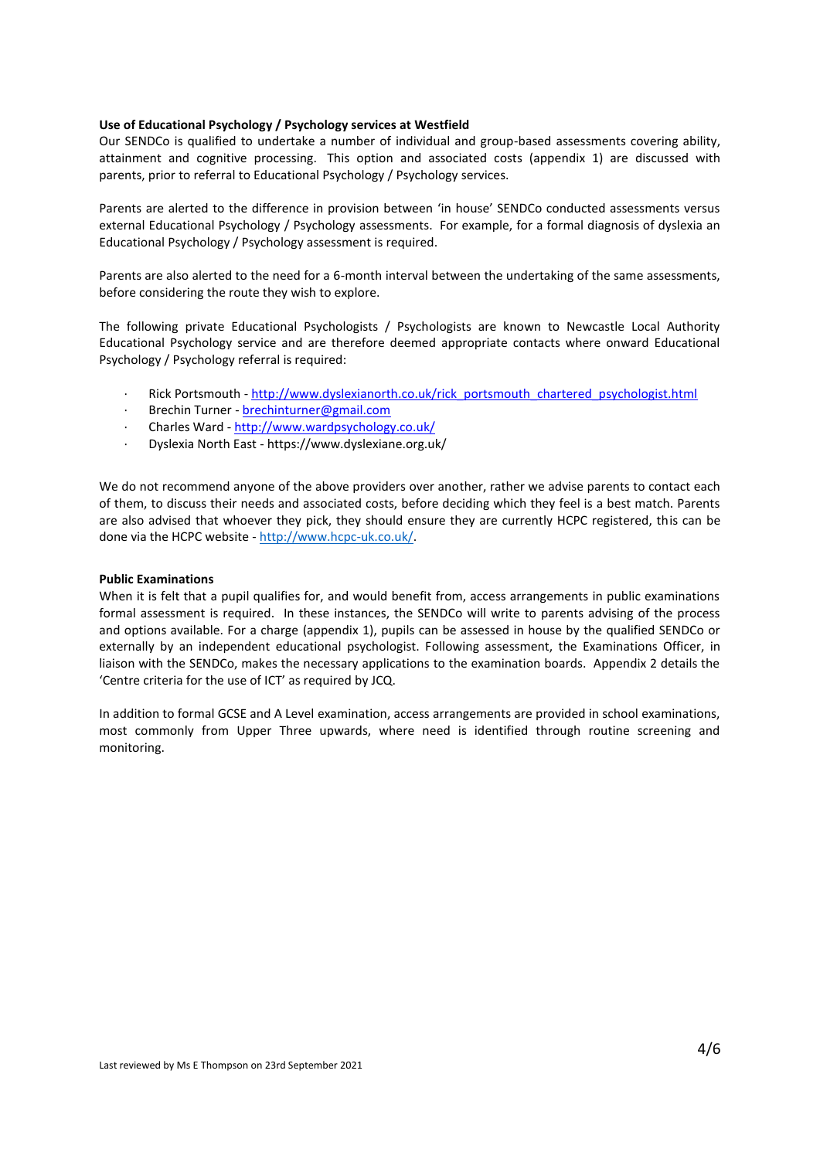### **Use of Educational Psychology / Psychology services at Westfield**

Our SENDCo is qualified to undertake a number of individual and group-based assessments covering ability, attainment and cognitive processing. This option and associated costs (appendix 1) are discussed with parents, prior to referral to Educational Psychology / Psychology services.

Parents are alerted to the difference in provision between 'in house' SENDCo conducted assessments versus external Educational Psychology / Psychology assessments. For example, for a formal diagnosis of dyslexia an Educational Psychology / Psychology assessment is required.

Parents are also alerted to the need for a 6-month interval between the undertaking of the same assessments, before considering the route they wish to explore.

The following private Educational Psychologists / Psychologists are known to Newcastle Local Authority Educational Psychology service and are therefore deemed appropriate contacts where onward Educational Psychology / Psychology referral is required:

- Rick Portsmouth [http://www.dyslexianorth.co.uk/rick\\_portsmouth\\_chartered\\_psychologist.html](http://www.dyslexianorth.co.uk/rick_portsmouth_chartered_psychologist.html)
- · Brechin Turner [brechinturner@gmail.com](mailto:brechinturner@gmail.com)
- · Charles Ward <http://www.wardpsychology.co.uk/>
- · Dyslexia North East https://www.dyslexiane.org.uk/

We do not recommend anyone of the above providers over another, rather we advise parents to contact each of them, to discuss their needs and associated costs, before deciding which they feel is a best match. Parents are also advised that whoever they pick, they should ensure they are currently HCPC registered, this can be done via the HCPC website - [http://www.hcpc-uk.co.uk/.](http://www.hcpc-uk.co.uk/)

#### **Public Examinations**

When it is felt that a pupil qualifies for, and would benefit from, access arrangements in public examinations formal assessment is required. In these instances, the SENDCo will write to parents advising of the process and options available. For a charge (appendix 1), pupils can be assessed in house by the qualified SENDCo or externally by an independent educational psychologist. Following assessment, the Examinations Officer, in liaison with the SENDCo, makes the necessary applications to the examination boards. Appendix 2 details the 'Centre criteria for the use of ICT' as required by JCQ.

In addition to formal GCSE and A Level examination, access arrangements are provided in school examinations, most commonly from Upper Three upwards, where need is identified through routine screening and monitoring.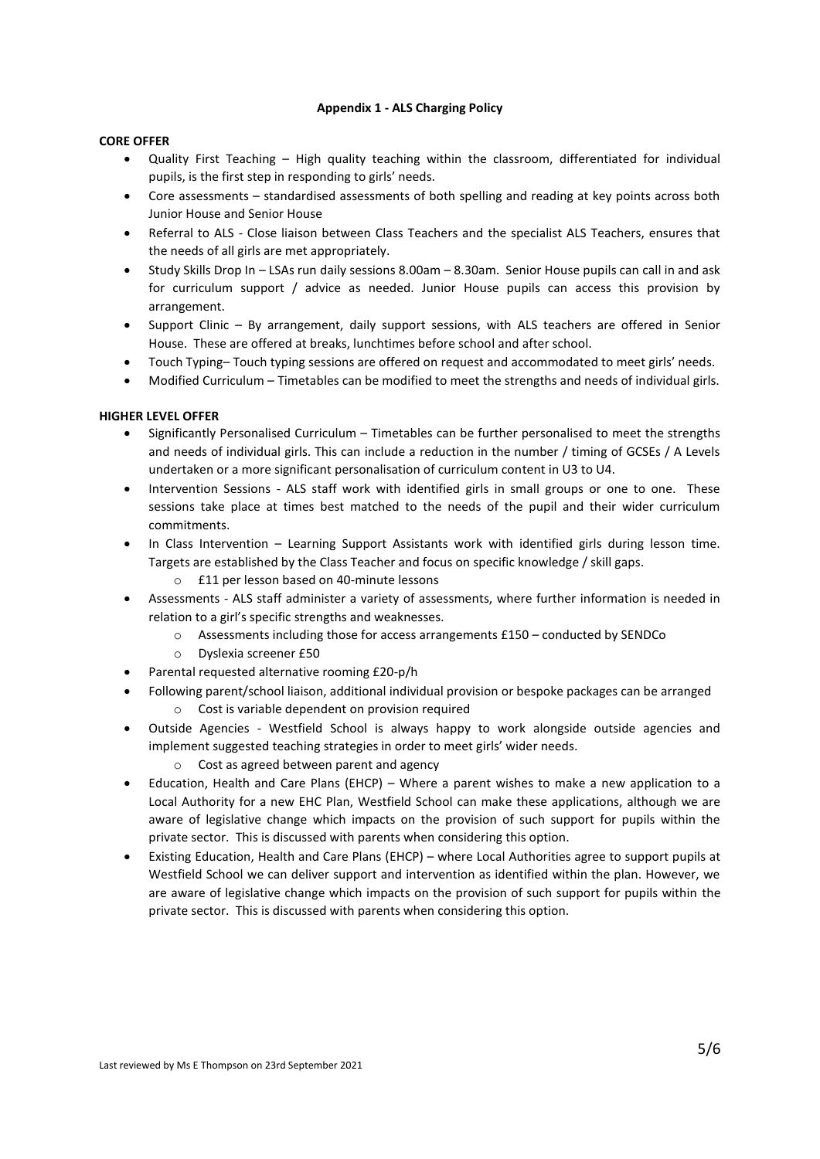## **Appendix 1 - ALS Charging Policy**

## **CORE OFFER**

- Quality First Teaching High quality teaching within the classroom, differentiated for individual pupils, is the first step in responding to girls' needs.
- Core assessments standardised assessments of both spelling and reading at key points across both Junior House and Senior House
- Referral to ALS Close liaison between Class Teachers and the specialist ALS Teachers, ensures that the needs of all girls are met appropriately.
- Study Skills Drop In LSAs run daily sessions 8.00am 8.30am. Senior House pupils can call in and ask for curriculum support / advice as needed. Junior House pupils can access this provision by arrangement.
- Support Clinic By arrangement, daily support sessions, with ALS teachers are offered in Senior House. These are offered at breaks, lunchtimes before school and after school.
- Touch Typing– Touch typing sessions are offered on request and accommodated to meet girls' needs.
- Modified Curriculum Timetables can be modified to meet the strengths and needs of individual girls.

# **HIGHER LEVEL OFFER**

- Significantly Personalised Curriculum Timetables can be further personalised to meet the strengths and needs of individual girls. This can include a reduction in the number / timing of GCSEs / A Levels undertaken or a more significant personalisation of curriculum content in U3 to U4.
- Intervention Sessions ALS staff work with identified girls in small groups or one to one. These sessions take place at times best matched to the needs of the pupil and their wider curriculum commitments.
- In Class Intervention Learning Support Assistants work with identified girls during lesson time. Targets are established by the Class Teacher and focus on specific knowledge / skill gaps.
	- o £11 per lesson based on 40-minute lessons
- Assessments ALS staff administer a variety of assessments, where further information is needed in relation to a girl's specific strengths and weaknesses.
	- o Assessments including those for access arrangements £150 conducted by SENDCo
	- o Dyslexia screener £50
- Parental requested alternative rooming £20-p/h
- Following parent/school liaison, additional individual provision or bespoke packages can be arranged
	- o Cost is variable dependent on provision required
- Outside Agencies Westfield School is always happy to work alongside outside agencies and implement suggested teaching strategies in order to meet girls' wider needs.
	- o Cost as agreed between parent and agency
- Education, Health and Care Plans (EHCP) Where a parent wishes to make a new application to a Local Authority for a new EHC Plan, Westfield School can make these applications, although we are aware of legislative change which impacts on the provision of such support for pupils within the private sector. This is discussed with parents when considering this option.
- Existing Education, Health and Care Plans (EHCP) where Local Authorities agree to support pupils at Westfield School we can deliver support and intervention as identified within the plan. However, we are aware of legislative change which impacts on the provision of such support for pupils within the private sector. This is discussed with parents when considering this option.